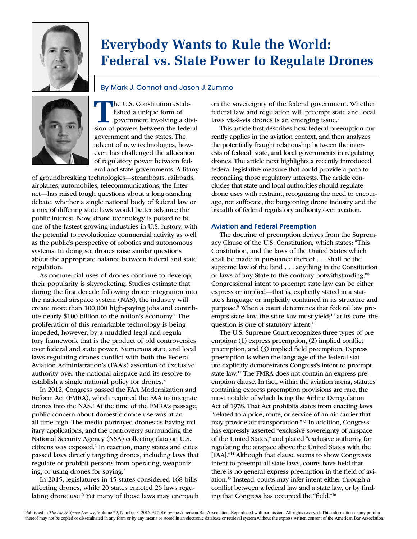

# **Everybody Wants to Rule the World: Federal vs. State Power to Regulate Drones**

# By Mark J. Connot and Jason J. Zummo



**The U.S. Constitution estab-**<br>
sing a divi-<br>
government involving a divi-<br>
sion of powers between the federal lished a unique form of sion of powers between the federal government and the states. The advent of new technologies, however, has challenged the allocation of regulatory power between federal and state governments. A litany

of groundbreaking technologies—steamboats, railroads, airplanes, automobiles, telecommunications, the Internet—has raised tough questions about a long-standing debate: whether a single national body of federal law or a mix of differing state laws would better advance the public interest. Now, drone technology is poised to be one of the fastest growing industries in U.S. history, with the potential to revolutionize commercial activity as well as the public's perspective of robotics and autonomous systems. In doing so, drones raise similar questions about the appropriate balance between federal and state regulation.

As commercial uses of drones continue to develop, their popularity is skyrocketing. Studies estimate that during the first decade following drone integration into the national airspace system (NAS), the industry will create more than 100,000 high-paying jobs and contribute nearly \$100 billion to the nation's economy.1 The proliferation of this remarkable technology is being impeded, however, by a muddled legal and regulatory framework that is the product of old controversies over federal and state power. Numerous state and local laws regulating drones conflict with both the Federal Aviation Administration's (FAA's) assertion of exclusive authority over the national airspace and its resolve to establish a single national policy for drones.<sup>2</sup>

In 2012, Congress passed the FAA Modernization and Reform Act (FMRA), which required the FAA to integrate drones into the NAS.<sup>3</sup> At the time of the FMRA's passage, public concern about domestic drone use was at an all-time high. The media portrayed drones as having military applications, and the controversy surrounding the National Security Agency (NSA) collecting data on U.S. citizens was exposed.<sup>4</sup> In reaction, many states and cities passed laws directly targeting drones, including laws that regulate or prohibit persons from operating, weaponizing, or using drones for spying.5

In 2015, legislatures in 45 states considered 168 bills affecting drones, while 20 states enacted 26 laws regulating drone use.<sup>6</sup> Yet many of those laws may encroach on the sovereignty of the federal government. Whether federal law and regulation will preempt state and local laws vis-à-vis drones is an emerging issue.<sup>7</sup>

This article first describes how federal preemption currently applies in the aviation context, and then analyzes the potentially fraught relationship between the interests of federal, state, and local governments in regulating drones. The article next highlights a recently introduced federal legislative measure that could provide a path to reconciling those regulatory interests. The article concludes that state and local authorities should regulate drone uses with restraint, recognizing the need to encourage, not suffocate, the burgeoning drone industry and the breadth of federal regulatory authority over aviation.

## **Aviation and Federal Preemption**

The doctrine of preemption derives from the Supremacy Clause of the U.S. Constitution, which states: "This Constitution, and the laws of the United States which shall be made in pursuance thereof . . . shall be the supreme law of the land . . . anything in the Constitution or laws of any State to the contrary notwithstanding."8 Congressional intent to preempt state law can be either express or implied—that is, explicitly stated in a statute's language or implicitly contained in its structure and purpose.9 When a court determines that federal law preempts state law, the state law must yield;<sup>10</sup> at its core, the question is one of statutory intent.<sup>11</sup>

The U.S. Supreme Court recognizes three types of preemption: (1) express preemption, (2) implied conflict preemption, and (3) implied field preemption. Express preemption is when the language of the federal statute explicitly demonstrates Congress's intent to preempt state law.12 The FMRA does not contain an express preemption clause. In fact, within the aviation arena, statutes containing express preemption provisions are rare, the most notable of which being the Airline Deregulation Act of 1978. That Act prohibits states from enacting laws "related to a price, route, or service of an air carrier that may provide air transportation."13 In addition, Congress has expressly asserted "exclusive sovereignty of airspace of the United States," and placed "exclusive authority for regulating the airspace above the United States with the [FAA]."14 Although that clause seems to show Congress's intent to preempt all state laws, courts have held that there is no general express preemption in the field of aviation.15 Instead, courts may infer intent either through a conflict between a federal law and a state law, or by finding that Congress has occupied the "field."16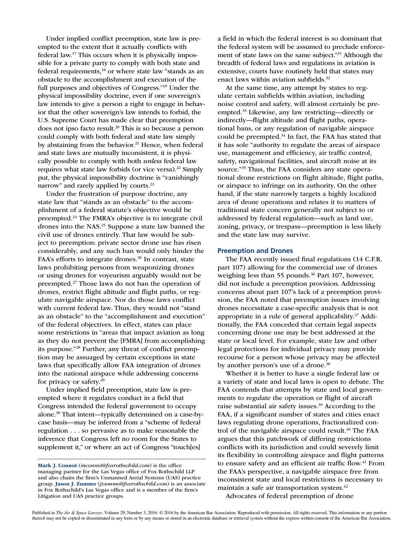Under implied conflict preemption, state law is preempted to the extent that it actually conflicts with federal law.17 This occurs when it is physically impossible for a private party to comply with both state and federal requirements,18 or where state law "stands as an obstacle to the accomplishment and execution of the full purposes and objectives of Congress."19 Under the physical impossibility doctrine, even if one sovereign's law intends to give a person a right to engage in behavior that the other sovereign's law intends to forbid, the U.S. Supreme Court has made clear that preemption does not ipso facto result.<sup>20</sup> This is so because a person could comply with both federal and state law simply by abstaining from the behavior.<sup>21</sup> Hence, when federal and state laws are mutually inconsistent, it is physically possible to comply with both *unless* federal law requires what state law forbids (or vice versa).<sup>22</sup> Simply put, the physical impossibility doctrine is "vanishingly narrow" and rarely applied by courts.<sup>23</sup>

Under the frustration of purpose doctrine, any state law that "stands as an obstacle" to the accomplishment of a federal statute's objective would be preempted.24 The FMRA's objective is to integrate civil drones into the NAS.<sup>25</sup> Suppose a state law banned the civil use of drones entirely. That law would be subject to preemption: private sector drone use has risen considerably, and any such ban would only hinder the FAA's efforts to integrate drones. $26$  In contrast, state laws prohibiting persons from weaponizing drones or using drones for voyeurism arguably would not be preempted.27 Those laws do not ban the operation of drones, restrict flight altitude and flight paths, or regulate navigable airspace. Nor do those laws conflict with current federal law. Thus, they would not "stand as an obstacle" to the "accomplishment and execution" of the federal objectives. In effect, states can place some restrictions in "areas that impact aviation as long as they do not prevent the [FMRA] from accomplishing its purpose."28 Further, any threat of conflict preemption may be assuaged by certain exceptions in state laws that specifically allow FAA integration of drones into the national airspace while addressing concerns for privacy or safety.29

Under implied field preemption, state law is preempted where it regulates conduct in a field that Congress intended the federal government to occupy alone.30 That intent—typically determined on a case-bycase basis—may be inferred from a "scheme of federal regulation . . . so pervasive as to make reasonable the inference that Congress left no room for the States to supplement it," or where an act of Congress "touch[es]

a field in which the federal interest is so dominant that the federal system will be assumed to preclude enforcement of state laws on the same subject."31 Although the breadth of federal laws and regulations in aviation is extensive, courts have routinely held that states may enact laws within aviation subfields.<sup>32</sup>

At the same time, any attempt by states to regulate certain subfields within aviation, including noise control and safety, will almost certainly be preempted.33 Likewise, any law restricting—directly or indirectly—flight altitude and flight paths, operational bans, or any regulation of navigable airspace could be preempted.34 In fact, the FAA has stated that it has sole "authority to regulate the areas of airspace use, management and efficiency, air traffic control, safety, navigational facilities, and aircraft noise at its source."35 Thus, the FAA considers any state operational drone restrictions on flight altitude, flight paths, or airspace to infringe on its authority. On the other hand, if the state narrowly targets a highly localized area of drone operations and relates it to matters of traditional state concern generally not subject to or addressed by federal regulation—such as land use, zoning, privacy, or trespass—preemption is less likely and the state law may survive.

#### **Preemption and Drones**

The FAA recently issued final regulations (14 C.F.R. part 107) allowing for the commercial use of drones weighing less than 55 pounds.<sup>36</sup> Part 107, however, did not include a preemption provision. Addressing concerns about part 107's lack of a preemption provision, the FAA noted that preemption issues involving drones necessitate a case-specific analysis that is not appropriate in a rule of general applicability.37 Additionally, the FAA conceded that certain legal aspects concerning drone use may be best addressed at the state or local level. For example, state law and other legal protections for individual privacy may provide recourse for a person whose privacy may be affected by another person's use of a drone.<sup>38</sup>

Whether it is better to have a single federal law or a variety of state and local laws is open to debate. The FAA contends that attempts by state and local governments to regulate the operation or flight of aircraft raise substantial air safety issues.<sup>39</sup> According to the FAA, if a significant number of states and cities enact laws regulating drone operations, fractionalized control of the navigable airspace could result.<sup>40</sup> The FAA argues that this patchwork of differing restrictions conflicts with its jurisdiction and could severely limit its flexibility in controlling airspace and flight patterns to ensure safety and an efficient air traffic flow.<sup>41</sup> From the FAA's perspective, a navigable airspace free from inconsistent state and local restrictions is necessary to maintain a safe air transportation system.<sup>42</sup>

Advocates of federal preemption of drone

Mark J. Connot (*mconnot@foxrothschild.com*) is the office managing partner for the Las Vegas office of Fox Rothschild LLP and also chairs the firm's Unmanned Aerial Systems (UAS) practice group. Jason J. Zummo (*jzummo@foxrothschild.com*) is an associate in Fox Rothschild's Las Vegas office and is a member of the firm's Litigation and UAS practice groups.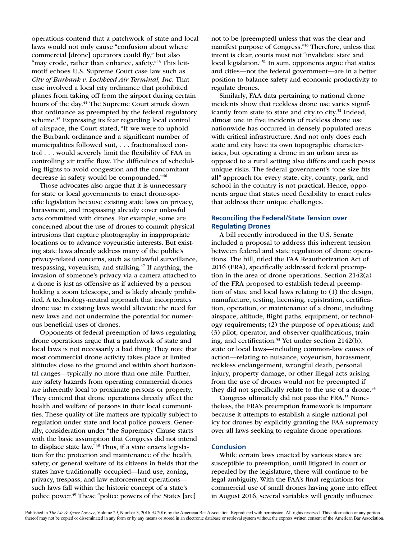operations contend that a patchwork of state and local laws would not only cause "confusion about where commercial [drone] operators could fly," but also "may erode, rather than enhance, safety."<sup>43</sup> This leitmotif echoes U.S. Supreme Court case law such as *City of Burbank v. Lockheed Air Terminal, Inc.* That case involved a local city ordinance that prohibited planes from taking off from the airport during certain hours of the day.<sup>44</sup> The Supreme Court struck down that ordinance as preempted by the federal regulatory scheme.45 Expressing its fear regarding local control of airspace, the Court stated, "If we were to uphold the Burbank ordinance and a significant number of municipalities followed suit, . . . fractionalized control . . . would severely limit the flexibility of FAA in controlling air traffic flow. The difficulties of scheduling flights to avoid congestion and the concomitant decrease in safety would be compounded."46

Those advocates also argue that it is unnecessary for state or local governments to enact drone-specific legislation because existing state laws on privacy, harassment, and trespassing already cover unlawful acts committed with drones. For example, some are concerned about the use of drones to commit physical intrusions that capture photography in inappropriate locations or to advance voyeuristic interests. But existing state laws already address many of the public's privacy-related concerns, such as unlawful surveillance, trespassing, voyeurism, and stalking.47 If anything, the invasion of someone's privacy via a camera attached to a drone is just as offensive as if achieved by a person holding a zoom telescope, and is likely already prohibited. A technology-neutral approach that incorporates drone use in existing laws would alleviate the need for new laws and not undermine the potential for numerous beneficial uses of drones.

Opponents of federal preemption of laws regulating drone operations argue that a patchwork of state and local laws is not necessarily a bad thing. They note that most commercial drone activity takes place at limited altitudes close to the ground and within short horizontal ranges—typically no more than one mile. Further, any safety hazards from operating commercial drones are inherently local to proximate persons or property. They contend that drone operations directly affect the health and welfare of persons in their local communities. These quality-of-life matters are typically subject to regulation under state and local police powers. Generally, consideration under "the Supremacy Clause starts with the basic assumption that Congress did not intend to displace state law."48 Thus, if a state enacts legislation for the protection and maintenance of the health, safety, or general welfare of its citizens in fields that the states have traditionally occupied—land use, zoning, privacy, trespass, and law enforcement operations such laws fall within the historic concept of a state's police power.<sup>49</sup> These "police powers of the States [are]

not to be [preempted] unless that was the clear and manifest purpose of Congress."50 Therefore, unless that intent is clear, courts must not "invalidate state and local legislation."51 In sum, opponents argue that states and cities—not the federal government—are in a better position to balance safety and economic productivity to regulate drones.

Similarly, FAA data pertaining to national drone incidents show that reckless drone use varies significantly from state to state and city to city.<sup>52</sup> Indeed, almost one in five incidents of reckless drone use nationwide has occurred in densely populated areas with critical infrastructure. And not only does each state and city have its own topographic characteristics, but operating a drone in an urban area as opposed to a rural setting also differs and each poses unique risks. The federal government's "one size fits all" approach for every state, city, county, park, and school in the country is not practical. Hence, opponents argue that states need flexibility to enact rules that address their unique challenges.

## **Reconciling the Federal/State Tension over Regulating Drones**

A bill recently introduced in the U.S. Senate included a proposal to address this inherent tension between federal and state regulation of drone operations. The bill, titled the FAA Reauthorization Act of 2016 (FRA), specifically addressed federal preemption in the area of drone operations. Section 2142(a) of the FRA proposed to establish federal preemption of state and local laws relating to (1) the design, manufacture, testing, licensing, registration, certification, operation, or maintenance of a drone, including airspace, altitude, flight paths, equipment, or technology requirements; (2) the purpose of operations; and (3) pilot, operator, and observer qualifications, training, and certification.<sup>53</sup> Yet under section 2142(b), state or local laws—including common-law causes of action—relating to nuisance, voyeurism, harassment, reckless endangerment, wrongful death, personal injury, property damage, or other illegal acts arising from the use of drones would not be preempted if they did not specifically relate to the use of a drone.<sup>54</sup>

Congress ultimately did not pass the FRA.<sup>55</sup> Nonetheless, the FRA's preemption framework is important because it attempts to establish a single national policy for drones by explicitly granting the FAA supremacy over all laws seeking to regulate drone operations.

## **Conclusion**

While certain laws enacted by various states are susceptible to preemption, until litigated in court or repealed by the legislature, there will continue to be legal ambiguity. With the FAA's final regulations for commercial use of small drones having gone into effect in August 2016, several variables will greatly influence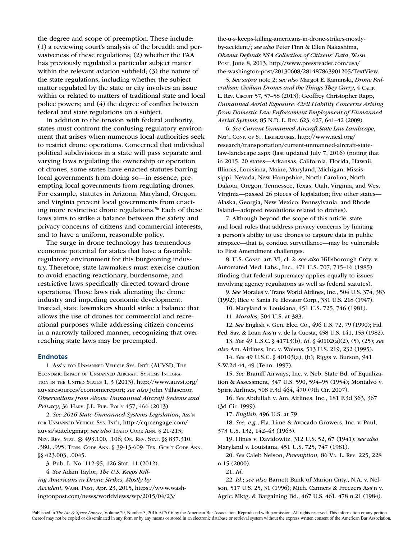the degree and scope of preemption. These include: (1) a reviewing court's analysis of the breadth and pervasiveness of these regulations; (2) whether the FAA has previously regulated a particular subject matter within the relevant aviation subfield; (3) the nature of the state regulations, including whether the subject matter regulated by the state or city involves an issue within or related to matters of traditional state and local police powers; and (4) the degree of conflict between federal and state regulations on a subject.

In addition to the tension with federal authority, states must confront the confusing regulatory environment that arises when numerous local authorities seek to restrict drone operations. Concerned that individual political subdivisions in a state will pass separate and varying laws regulating the ownership or operation of drones, some states have enacted statutes barring local governments from doing so—in essence, preempting local governments from regulating drones. For example, statutes in Arizona, Maryland, Oregon, and Virginia prevent local governments from enacting more restrictive drone regulations.<sup>56</sup> Each of these laws aims to strike a balance between the safety and privacy concerns of citizens and commercial interests, and to have a uniform, reasonable policy.

The surge in drone technology has tremendous economic potential for states that have a favorable regulatory environment for this burgeoning industry. Therefore, state lawmakers must exercise caution to avoid enacting reactionary, burdensome, and restrictive laws specifically directed toward drone operations. Those laws risk alienating the drone industry and impeding economic development. Instead, state lawmakers should strike a balance that allows the use of drones for commercial and recreational purposes while addressing citizen concerns in a narrowly tailored manner, recognizing that overreaching state laws may be preempted.

#### **Endnotes**

1. Ass'n for Unmanned Vehicle Sys. Int'l (AUVSI), The Economic Impact of Unmanned Aircraft Systems Integration in the United States 1, 3 (2013), http://www.auvsi.org/ auvsiresources/economicreport; *see also* John Villasenor, *Observations from Above: Unmanned Aircraft Systems and Privacy*, 36 Harv. J.L. Pub. Pol'y 457, 466 (2013).

2. *See 2016 State Unmanned Systems Legislation*, Ass'n for Unmanned Vehicle Sys. Int'l, http://cqrcengage.com/ auvsi/statelegmap; see also IDAHO CODE ANN. § 21-213; Nev. Rev. Stat. §§ 493.100, .106; Or. Rev. Stat. §§ 837.310, .380, .995; Tenn. Code Ann. § 39-13-609; Tex. Gov't Code Ann. §§ 423.003, .0045.

3. Pub. L. No. 112-95, 126 Stat. 11 (2012).

4. *See* Adam Taylor, *The U.S. Keeps Kill-*

*ing Americans in Drone Strikes, Mostly by* 

*Accident*, Wash. Post, Apr. 23, 2015, https://www.washingtonpost.com/news/worldviews/wp/2015/04/23/

the-u-s-keeps-killing-americans-in-drone-strikes-mostlyby-accident/; *see also* Peter Finn & Ellen Nakashima, *Obama Defends NSA Collection of Citizens' Data*, Wash. Post, June 8, 2013, http://www.pressreader.com/usa/ the-washington-post/20130608/281487863901205/TextView.

5. *See supra* note 2; *see also* Margot E. Kaminski, *Drone Federalism: Civilian Drones and the Things They Carry*, 4 Calif. L. REV. CIRCUIT 57, 57-58 (2013); Geoffrey Christopher Rapp, *Unmanned Aerial Exposure: Civil Liability Concerns Arising from Domestic Law Enforcement Employment of Unmanned Aerial Systems*, 85 N.D. L. Rev. 623, 627, 641–42 (2009).

6. *See Current Unmanned Aircraft State Law Landscape*, Nat'l Conf. of St. Legislatures, http://www.ncsl.org/ research/transportation/current-unmanned-aircraft-statelaw-landscape.aspx (last updated July 7, 2016) (noting that in 2015, 20 states—Arkansas, California, Florida, Hawaii, Illinois, Louisiana, Maine, Maryland, Michigan, Mississippi, Nevada, New Hampshire, North Carolina, North Dakota, Oregon, Tennessee, Texas, Utah, Virginia, and West Virginia—passed 26 pieces of legislation; five other states— Alaska, Georgia, New Mexico, Pennsylvania, and Rhode Island—adopted resolutions related to drones).

7. Although beyond the scope of this article, state and local rules that address privacy concerns by limiting a person's ability to use drones to capture data in public airspace—that is, conduct surveillance—may be vulnerable to First Amendment challenges.

8. U.S. Const. art. VI, cl. 2; *see also* Hillsborough Cnty. v. Automated Med. Labs., Inc., 471 U.S. 707, 715–16 (1985) (finding that federal supremacy applies equally to issues involving agency regulations as well as federal statutes).

9. *See* Morales v. Trans World Airlines, Inc., 504 U.S. 374, 383 (1992); Rice v. Santa Fe Elevator Corp., 331 U.S. 218 (1947).

10. Maryland v. Louisiana, 451 U.S. 725, 746 (1981).

11. *Morales*, 504 U.S. at 383.

12. *See* English v. Gen. Elec. Co., 496 U.S. 72, 79 (1990); Fid. Fed. Sav. & Loan Ass'n v. de la Cuesta, 458 U.S. 141, 153 (1982).

13. *See* 49 U.S.C. § 41713(b); *id*. § 40102(a)(2), (5), (25); *see also* Am. Airlines, Inc. v. Wolens, 513 U.S. 219, 232 (1995).

14. *See* 49 U.S.C. § 40103(a), (b); Riggs v. Burson, 941 S.W.2d 44, 49 (Tenn. 1997).

15. *See* Braniff Airways, Inc. v. Neb. State Bd. of Equalization & Assessment, 347 U.S. 590, 594–95 (1954); Montalvo v. Spirit Airlines, 508 F.3d 464, 470 (9th Cir. 2007).

16. *See* Abdullah v. Am. Airlines, Inc., 181 F.3d 363, 367 (3d Cir. 1999).

17. *English*, 496 U.S. at 79.

18. *See, e.g.*, Fla. Lime & Avocado Growers, Inc. v. Paul, 373 U.S. 132, 142–43 (1963).

19. Hines v. Davidowitz, 312 U.S. 52, 67 (1941); *see also* Maryland v. Louisiana, 451 U.S. 725, 747 (1981).

20. *See* Caleb Nelson, *Preemption,* 86 Va. L. Rev. 225, 228 n.15 (2000).

21. *Id.*

22. *Id.*; *see also* Barnett Bank of Marion Cnty., N.A. v. Nelson, 517 U.S. 25, 31 (1996); Mich. Canners & Freezers Ass'n v. Agric. Mktg. & Bargaining Bd., 467 U.S. 461, 478 n.21 (1984).